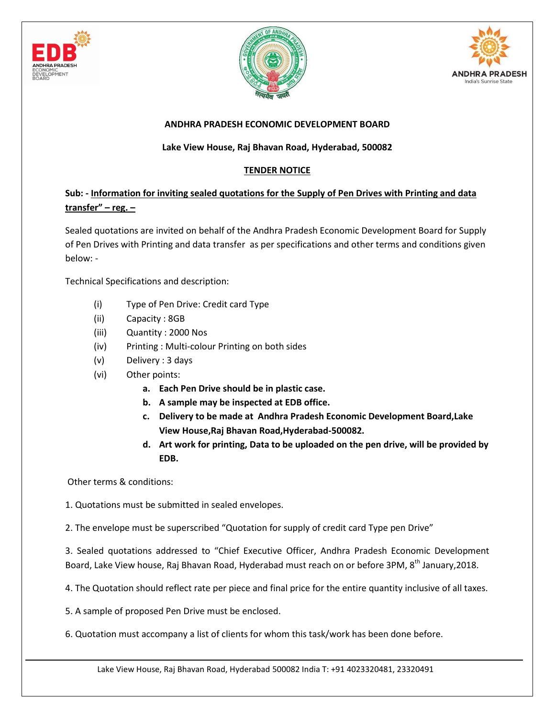





## **ANDHRA PRADESH ECONOMIC DEVELOPMENT BOARD**

## **Lake View House, Raj Bhavan Road, Hyderabad, 500082**

## **TENDER NOTICE**

## **Sub: - Information for inviting sealed quotations for the Supply of Pen Drives with Printing and data transfer" – reg. –**

Sealed quotations are invited on behalf of the Andhra Pradesh Economic Development Board for Supply of Pen Drives with Printing and data transfer as per specifications and other terms and conditions given below: -

Technical Specifications and description:

- (i) Type of Pen Drive: Credit card Type
- (ii) Capacity : 8GB
- (iii) Quantity : 2000 Nos
- (iv) Printing : Multi-colour Printing on both sides
- (v) Delivery : 3 days
- (vi) Other points:
	- **a. Each Pen Drive should be in plastic case.**
	- **b. A sample may be inspected at EDB office.**
	- **c. Delivery to be made at Andhra Pradesh Economic Development Board,Lake View House,Raj Bhavan Road,Hyderabad-500082.**
	- **d. Art work for printing, Data to be uploaded on the pen drive, will be provided by EDB.**

Other terms & conditions:

1. Quotations must be submitted in sealed envelopes.

2. The envelope must be superscribed "Quotation for supply of credit card Type pen Drive"

3. Sealed quotations addressed to "Chief Executive Officer, Andhra Pradesh Economic Development Board, Lake View house, Raj Bhavan Road, Hyderabad must reach on or before 3PM, 8<sup>th</sup> January, 2018.

4. The Quotation should reflect rate per piece and final price for the entire quantity inclusive of all taxes.

5. A sample of proposed Pen Drive must be enclosed.

6. Quotation must accompany a list of clients for whom this task/work has been done before.

Lake View House, Raj Bhavan Road, Hyderabad 500082 India T: +91 4023320481, 23320491